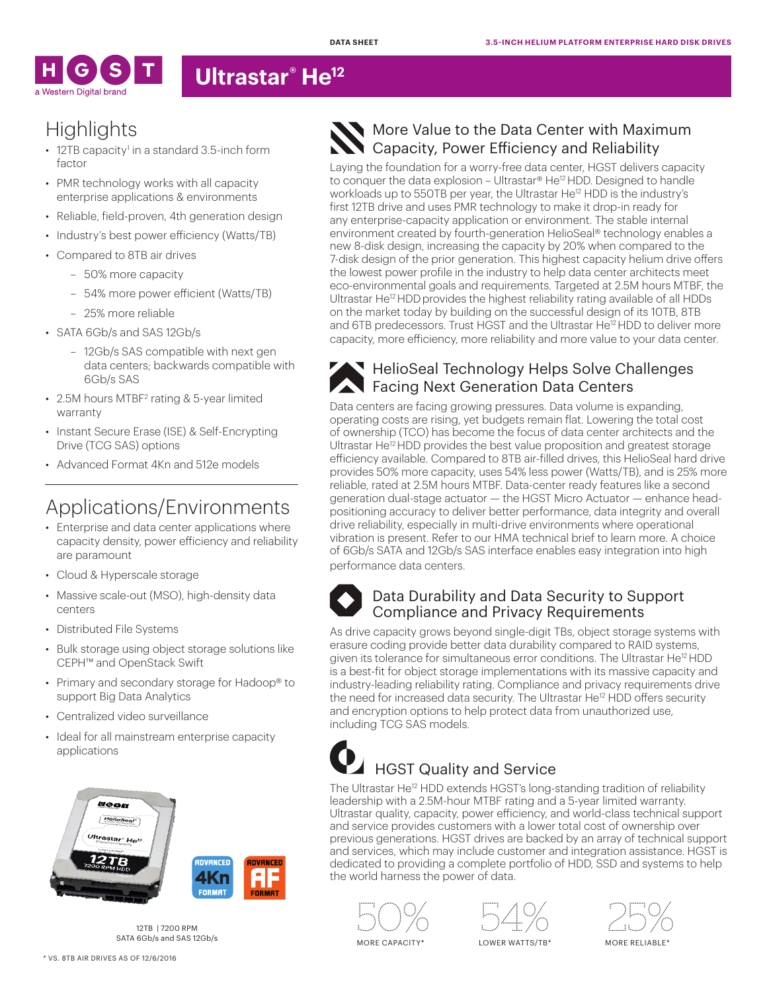

## **Ultrastar® He12**

# **Highlights**

- 12TB capacity<sup>1</sup> in a standard 3.5-inch form factor
- PMR technology works with all capacity enterprise applications & environments
- Reliable, field-proven, 4th generation design
- Industry's best power efficiency (Watts/TB)
- Compared to 8TB air drives
	- 50% more capacity
	- 54% more power efficient (Watts/TB)
	- 25% more reliable
- SATA 6Gb/s and SAS 12Gb/s
	- 12Gb/s SAS compatible with next gen data centers; backwards compatible with 6Gb/s SAS
- 2.5M hours MTBF<sup>2</sup> rating & 5-year limited warranty
- Instant Secure Erase (ISE) & Self-Encrypting Drive (TCG SAS) options
- Advanced Format 4Kn and 512e models

# Applications/Environments

- Enterprise and data center applications where capacity density, power efficiency and reliability are paramount
- Cloud & Hyperscale storage
- Massive scale-out (MSO), high-density data centers
- Distributed File Systems
- Bulk storage using object storage solutions like CEPH™ and OpenStack Swift
- Primary and secondary storage for Hadoop® to support Big Data Analytics
- Centralized video surveillance
- Ideal for all mainstream enterprise capacity applications



12TB | 7200 RPM SATA 6Gb/s and SAS 12Gb/s

### More Value to the Data Center with Maximum Capacity, Power Efficiency and Reliability

Laying the foundation for a worry-free data center, HGST delivers capacity to conquer the data explosion – Ultrastar® He<sup>12</sup> HDD. Designed to handle workloads up to 550TB per year, the Ultrastar He<sup>12</sup> HDD is the industry's first 12TB drive and uses PMR technology to make it drop-in ready for any enterprise-capacity application or environment. The stable internal environment created by fourth-generation HelioSeal® technology enables a new 8-disk design, increasing the capacity by 20% when compared to the 7-disk design of the prior generation. This highest capacity helium drive offers the lowest power profile in the industry to help data center architects meet eco-environmental goals and requirements. Targeted at 2.5M hours MTBF, the Ultrastar He<sup>12</sup> HDD provides the highest reliability rating available of all HDDs on the market today by building on the successful design of its 10TB, 8TB and 6TB predecessors. Trust HGST and the Ultrastar He<sup>12</sup> HDD to deliver more capacity, more efficiency, more reliability and more value to your data center.



### **HelioSeal Technology Helps Solve Challenges Facing Next Generation Data Centers**

Data centers are facing growing pressures. Data volume is expanding, operating costs are rising, yet budgets remain flat. Lowering the total cost of ownership (TCO) has become the focus of data center architects and the Ultrastar He<sup>12</sup> HDD provides the best value proposition and greatest storage efficiency available. Compared to 8TB air-filled drives, this HelioSeal hard drive provides 50% more capacity, uses 54% less power (Watts/TB), and is 25% more reliable, rated at 2.5M hours MTBF. Data-center ready features like a second generation dual-stage actuator — the HGST Micro Actuator — enhance headpositioning accuracy to deliver better performance, data integrity and overall drive reliability, especially in multi-drive environments where operational vibration is present. Refer to our HMA technical brief to learn more. A choice of 6Gb/s SATA and 12Gb/s SAS interface enables easy integration into high performance data centers.



### Data Durability and Data Security to Support Compliance and Privacy Requirements

As drive capacity grows beyond single-digit TBs, object storage systems with erasure coding provide better data durability compared to RAID systems, given its tolerance for simultaneous error conditions. The Ultrastar He<sup>12</sup> HDD is a best-fit for object storage implementations with its massive capacity and industry-leading reliability rating. Compliance and privacy requirements drive the need for increased data security. The Ultrastar He<sup>12</sup> HDD offers security and encryption options to help protect data from unauthorized use, including TCG SAS models.

# HGST Quality and Service

The Ultrastar He<sup>12</sup> HDD extends HGST's long-standing tradition of reliability leadership with a 2.5M-hour MTBF rating and a 5-year limited warranty. Ultrastar quality, capacity, power efficiency, and world-class technical support and service provides customers with a lower total cost of ownership over previous generations. HGST drives are backed by an array of technical support and services, which may include customer and integration assistance. HGST is dedicated to providing a complete portfolio of HDD, SSD and systems to help the world harness the power of data.



MORE CAPACITY\*